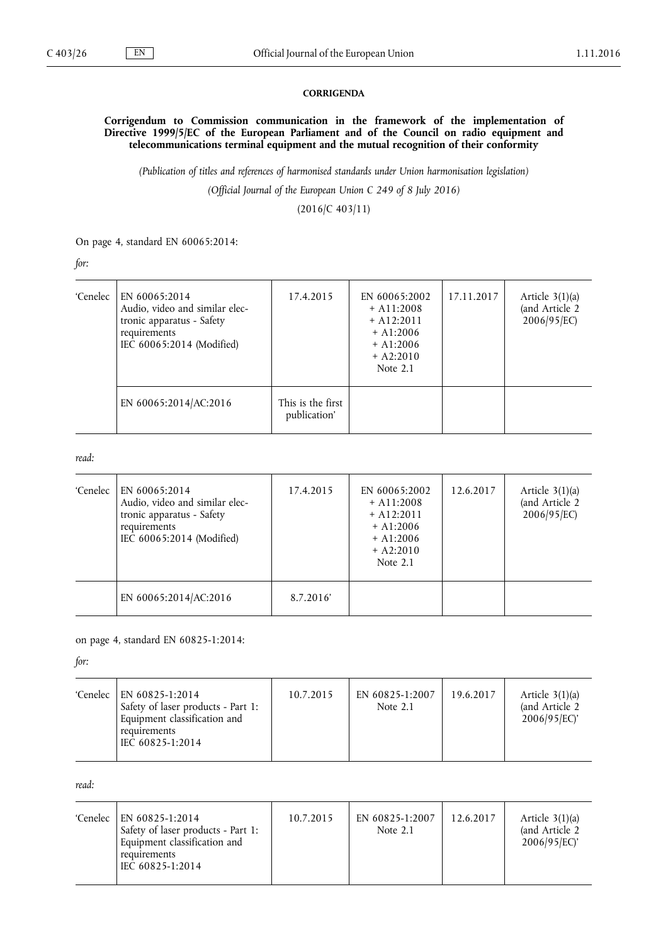#### **CORRIGENDA**

**Corrigendum to Commission communication in the framework of the implementation of Directive 1999/5/EC of the European Parliament and of the Council on radio equipment and telecommunications terminal equipment and the mutual recognition of their conformity**

*(Publication of titles and references of harmonised standards under Union harmonisation legislation)*

*(Official Journal of the European Union C 249 of 8 July 2016)*

(2016/C 403/11)

On page 4, standard EN 60065:2014:

*for:*

| 'Cenelec | EN 60065:2014<br>Audio, video and similar elec-<br>tronic apparatus - Safety<br>requirements<br>IEC 60065:2014 (Modified) | 17.4.2015                         | EN 60065:2002<br>$+$ A11:2008<br>$+$ A12:2011<br>$+$ A1:2006<br>$+$ A1:2006<br>$+ A2:2010$<br>Note $2.1$ | 17.11.2017 | Article $3(1)(a)$<br>(and Article 2<br>2006/95/EC) |
|----------|---------------------------------------------------------------------------------------------------------------------------|-----------------------------------|----------------------------------------------------------------------------------------------------------|------------|----------------------------------------------------|
|          | EN 60065:2014/AC:2016                                                                                                     | This is the first<br>publication' |                                                                                                          |            |                                                    |

*read:*

| 'Cenelec | EN 60065:2014<br>Audio, video and similar elec-<br>tronic apparatus - Safety<br>requirements<br>IEC 60065:2014 (Modified) | 17.4.2015 | EN 60065:2002<br>$+$ A11:2008<br>$+$ A12:2011<br>$+$ A1:2006<br>$+$ A1:2006<br>$+ A2:2010$<br>Note $2.1$ | 12.6.2017 | Article $3(1)(a)$<br>(and Article 2<br>2006/95/EC) |
|----------|---------------------------------------------------------------------------------------------------------------------------|-----------|----------------------------------------------------------------------------------------------------------|-----------|----------------------------------------------------|
|          | EN 60065:2014/AC:2016                                                                                                     | 8.7.2016  |                                                                                                          |           |                                                    |

#### on page 4, standard EN 60825-1:2014:

*for:*

| 'Cenelec | EN 60825-1:2014<br>Safety of laser products - Part 1:<br>Equipment classification and<br>requirements<br>IEC 60825-1:2014 | 10.7.2015 | EN 60825-1:2007<br>Note $2.1$ | 19.6.2017 | Article $3(1)(a)$<br>(and Article 2)<br>2006/95/EC |
|----------|---------------------------------------------------------------------------------------------------------------------------|-----------|-------------------------------|-----------|----------------------------------------------------|
|          |                                                                                                                           |           |                               |           |                                                    |

*read:*

| 'Cenelec | EN 60825-1:2014<br>'Safety of laser products - Part 1:<br>Equipment classification and<br>requirements<br>IEC 60825-1:2014 | 10.7.2015 | EN 60825-1:2007<br>Note 2.1 | 12.6.2017 | Article $3(1)(a)$<br>(and Article 2)<br>2006/95/EC |
|----------|----------------------------------------------------------------------------------------------------------------------------|-----------|-----------------------------|-----------|----------------------------------------------------|
|          |                                                                                                                            |           |                             |           |                                                    |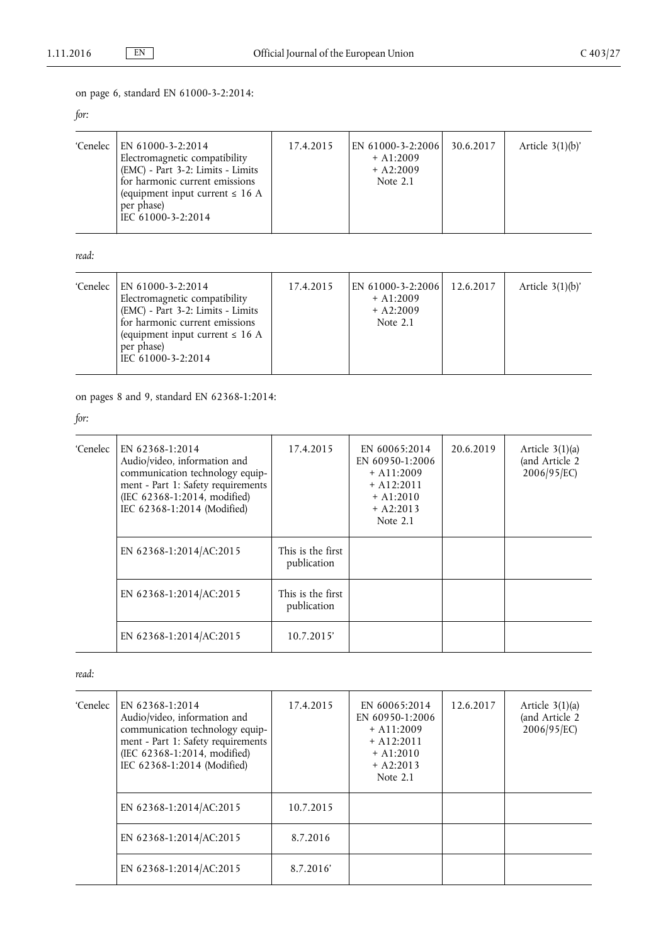# on page 6, standard EN 61000-3-2:2014:

*for:*

| Article $3(1)(b)'$<br>EN 61000-3-2:2014<br>'Cenelec<br>EN 61000-3-2:2006<br>30.6.2017<br>17.4.2015<br>Electromagnetic compatibility<br>$+$ A1:2009<br>(EMC) - Part 3-2: Limits - Limits<br>$+ A2:2009$<br>for harmonic current emissions<br>Note 2.1<br>(equipment input current $\leq 16$ A<br>per phase)<br>IEC 61000-3-2:2014 |
|----------------------------------------------------------------------------------------------------------------------------------------------------------------------------------------------------------------------------------------------------------------------------------------------------------------------------------|
|----------------------------------------------------------------------------------------------------------------------------------------------------------------------------------------------------------------------------------------------------------------------------------------------------------------------------------|

*read:*

| 'Cenelec | EN 61000-3-2:2014<br>Electromagnetic compatibility<br>(EMC) - Part 3-2: Limits - Limits                    | 17.4.2015 | EN 61000-3-2:2006 <br>$+$ A1:2009<br>$+ A2:2009$ | 12.6.2017 | Article $3(1)(b)$ ' |
|----------|------------------------------------------------------------------------------------------------------------|-----------|--------------------------------------------------|-----------|---------------------|
|          | for harmonic current emissions<br>(equipment input current $\leq 16$ A<br>per phase)<br>IEC 61000-3-2:2014 |           | Note 2.1                                         |           |                     |

on pages 8 and 9, standard EN 62368-1:2014:

*for:*

| 'Cenelec | EN 62368-1:2014<br>Audio/video, information and<br>communication technology equip-<br>ment - Part 1: Safety requirements<br>(IEC 62368-1:2014, modified)<br>IEC 62368-1:2014 (Modified) | 17.4.2015                        | EN 60065:2014<br>EN 60950-1:2006<br>$+$ A11:2009<br>$+$ A12:2011<br>$+$ A1:2010<br>$+ A2:2013$<br>Note $2.1$ | 20.6.2019 | Article $3(1)(a)$<br>(and Article 2<br>2006/95/EC) |
|----------|-----------------------------------------------------------------------------------------------------------------------------------------------------------------------------------------|----------------------------------|--------------------------------------------------------------------------------------------------------------|-----------|----------------------------------------------------|
|          | EN 62368-1:2014/AC:2015                                                                                                                                                                 | This is the first<br>publication |                                                                                                              |           |                                                    |
|          | EN 62368-1:2014/AC:2015                                                                                                                                                                 | This is the first<br>publication |                                                                                                              |           |                                                    |
|          | EN 62368-1:2014/AC:2015                                                                                                                                                                 | 10.7.2015'                       |                                                                                                              |           |                                                    |

*read:*

| 'Cenelec | EN 62368-1:2014<br>Audio/video, information and<br>communication technology equip-<br>ment - Part 1: Safety requirements<br>(IEC 62368-1:2014, modified)<br>IEC 62368-1:2014 (Modified) | 17.4.2015 | EN 60065:2014<br>EN 60950-1:2006<br>$+$ A11:2009<br>$+$ A12:2011<br>$+$ A1:2010<br>$+ A2:2013$<br>Note 2.1 | 12.6.2017 | Article $3(1)(a)$<br>(and Article 2<br>2006/95/EC) |
|----------|-----------------------------------------------------------------------------------------------------------------------------------------------------------------------------------------|-----------|------------------------------------------------------------------------------------------------------------|-----------|----------------------------------------------------|
|          | EN 62368-1:2014/AC:2015                                                                                                                                                                 | 10.7.2015 |                                                                                                            |           |                                                    |
|          | EN 62368-1:2014/AC:2015                                                                                                                                                                 | 8.7.2016  |                                                                                                            |           |                                                    |
|          | EN 62368-1:2014/AC:2015                                                                                                                                                                 | 8.7.2016  |                                                                                                            |           |                                                    |